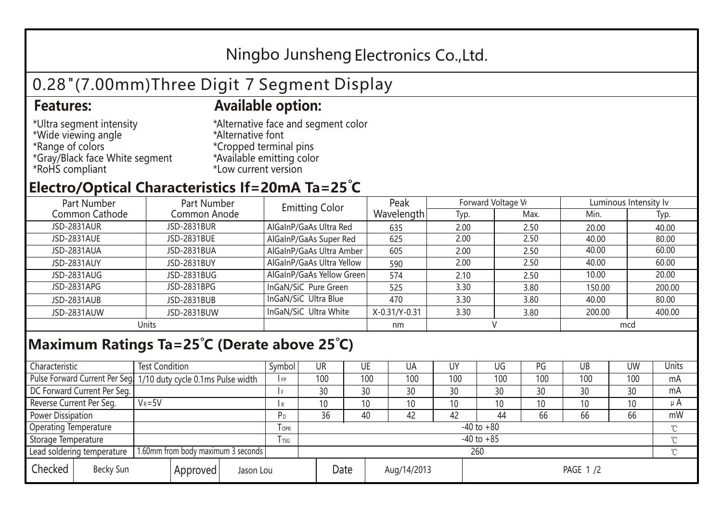## Ningbo Junsheng Electronics Co.,Ltd.

# 0.28"(7.00mm)Three Digit 7 Segment Display

#### **Features: Available option:**

- \*Ultra segment intensity \*Wide viewing angle \*Range of colors \*Gray/Black face White segment \*RoHS compliant
- \*Alternative face and segment color \*Alternative font \*Cropped terminal pins \*Available emitting color \*Low current version

### **Electro/Optical Characteristics If=20mA Ta=25 C**

| Part Number<br>Part Number |                    | <b>Emitting Color</b>     | Peak          | Forward Voltage VF |      | Luminous Intensity Iv |        |  |
|----------------------------|--------------------|---------------------------|---------------|--------------------|------|-----------------------|--------|--|
| Common Cathode             | Common Anode       |                           | Wavelength    | Typ.               | Max. | Min.                  | Typ.   |  |
| <b>JSD-2831AUR</b>         | <b>JSD-2831BUR</b> | AlGaInP/GaAs Ultra Red    | 635           | 2.00               | 2.50 | 20.00                 | 40.00  |  |
| JSD-2831AUE                | JSD-2831BUE        | AlGaInP/GaAs Super Red    | 625           | 2.00               | 2.50 | 40.00                 | 80.00  |  |
| JSD-2831AUA                | JSD-2831BUA        | AlGaInP/GaAs Ultra Amber  | 605           | 2.00               | 2.50 | 40.00                 | 60.00  |  |
| JSD-2831AUY                | JSD-2831BUY        | AlGaInP/GaAs Ultra Yellow | 590           | 2.00               | 2.50 | 40.00                 | 60.00  |  |
| JSD-2831AUG                | JSD-2831BUG        | AlGaInP/GaAs Yellow Green | 574           | 2.10               | 2.50 | 10.00                 | 20.00  |  |
| JSD-2831APG                | JSD-2831BPG        | InGaN/SiC Pure Green      | 525           | 3.30               | 3.80 | 150.00                | 200.00 |  |
| JSD-2831AUB                | JSD-2831BUB        | InGaN/SiC Ultra Blue      | 470           | 3.30               | 3.80 | 40.00                 | 80.00  |  |
| JSD-2831AUW                | JSD-2831BUW        | InGaN/SiC Ultra White     | X-0.31/Y-0.31 | 3.30               | 3.80 | 200.00                | 400.00 |  |
| Units                      |                    |                           | nm            |                    |      | mcd                   |        |  |

#### **Maximum Ratings Ta=25°C (Derate above 25°C)**

| Characteristic                                                   |                                    | <b>Test Condition</b>                                            |         |                     | Symbol         | UR              |    | UE       | UA  | UY  | UG              | PG  | UB     | <b>UW</b> | Units |
|------------------------------------------------------------------|------------------------------------|------------------------------------------------------------------|---------|---------------------|----------------|-----------------|----|----------|-----|-----|-----------------|-----|--------|-----------|-------|
|                                                                  |                                    | Pulse Forward Current Per Seg. 1/10 duty cycle 0.1ms Pulse width |         |                     | IFP            | 100             |    | 100      | 100 | 100 | 100             | 100 | 100    | 100       | mA    |
| DC Forward Current Per Seg.                                      |                                    |                                                                  |         |                     | 30             |                 | 30 | 30       | 30  | 30  | 30              | 30  | 30     | mA        |       |
| Reverse Current Per Seg.                                         |                                    | $V_R = 5V$                                                       |         |                     | I R            | 10 <sup>°</sup> |    | 10       | 10  | 10  | 10 <sup>°</sup> | 10  | 10     | 10        | μ $A$ |
| <b>Power Dissipation</b>                                         |                                    |                                                                  |         |                     | P <sub>D</sub> | 36              |    | 40       | 42  | 42  | 44              | 66  | 66     | 66        | mW    |
| <b>Operating Temperature</b>                                     |                                    |                                                                  | $I$ OPR | $-40$ to $+80$      |                |                 |    |          |     |     |                 |     |        |           |       |
| Storage Temperature                                              |                                    |                                                                  | I TSG   | $-40$ to $+85$      |                |                 |    |          |     |     |                 |     | $\sim$ |           |       |
| Lead soldering temperature<br>1.60mm from body maximum 3 seconds |                                    |                                                                  |         | 260                 |                |                 |    |          |     |     |                 |     |        |           |       |
| Checked                                                          | Becky Sun<br>Approved<br>Jason Lou |                                                                  |         | Date<br>Aug/14/2013 |                |                 |    | PAGE 1/2 |     |     |                 |     |        |           |       |